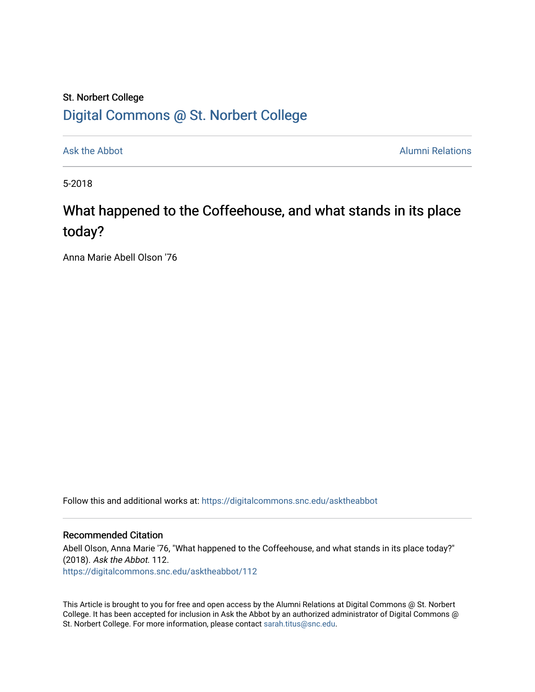### St. Norbert College [Digital Commons @ St. Norbert College](https://digitalcommons.snc.edu/)

[Ask the Abbot](https://digitalcommons.snc.edu/asktheabbot) **Alumni Relations** Ask the Abbot [Alumni Relations](https://digitalcommons.snc.edu/alumni) and Alumni Relations and Alumni Relations and Alumni Relations and Alumni Relations and Alumni Relations and Alumni Relations and Alumni Relations and Alumni

5-2018

# What happened to the Coffeehouse, and what stands in its place today?

Anna Marie Abell Olson '76

Follow this and additional works at: [https://digitalcommons.snc.edu/asktheabbot](https://digitalcommons.snc.edu/asktheabbot?utm_source=digitalcommons.snc.edu%2Fasktheabbot%2F112&utm_medium=PDF&utm_campaign=PDFCoverPages)

#### Recommended Citation

Abell Olson, Anna Marie '76, "What happened to the Coffeehouse, and what stands in its place today?" (2018). Ask the Abbot. 112. [https://digitalcommons.snc.edu/asktheabbot/112](https://digitalcommons.snc.edu/asktheabbot/112?utm_source=digitalcommons.snc.edu%2Fasktheabbot%2F112&utm_medium=PDF&utm_campaign=PDFCoverPages) 

This Article is brought to you for free and open access by the Alumni Relations at Digital Commons @ St. Norbert College. It has been accepted for inclusion in Ask the Abbot by an authorized administrator of Digital Commons @ St. Norbert College. For more information, please contact [sarah.titus@snc.edu.](mailto:sarah.titus@snc.edu)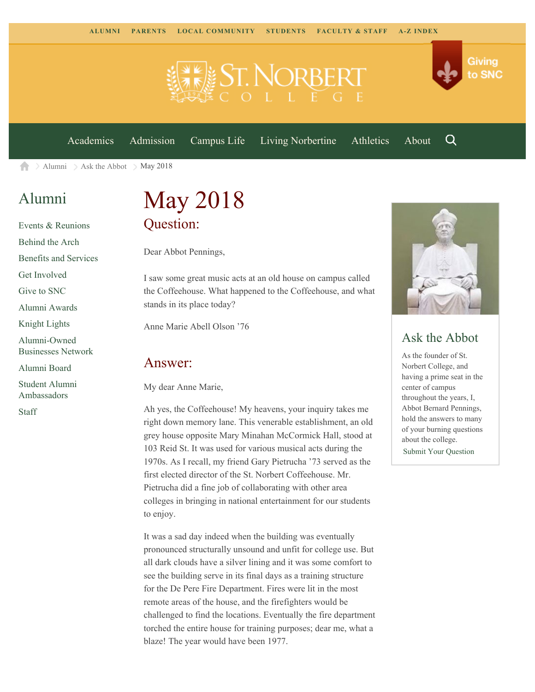

[Academics](https://www.snc.edu/academics) [Admission](https://www.snc.edu/admission) [Campus Life](https://www.snc.edu/campuslife) [Living Norbertine](https://www.snc.edu/livingnorbertine) [Athletics](https://www.snc.edu/athletics) [About](https://www.snc.edu/about)

Q

Giving

to SNC

[Alumni](https://www.snc.edu/alumni/)  $\geq$  [Ask the Abbot](https://www.snc.edu/alumni/abbot/)  $\geq$  May 2018 合

## [Alumni](https://www.snc.edu/alumni/index.html)

[Events & Reunions](https://www.snc.edu/alumni/event/index.html) [Behind the Arch](https://www.snc.edu/alumni/event/behindthearch/) [Benefits and Services](https://www.snc.edu/alumni/benefits.html) [Get Involved](https://www.snc.edu/alumni/getinvolved.html) [Give to SNC](http://giving.snc.edu/) [Alumni Awards](https://www.snc.edu/alumni/awards/index.html) [Knight Lights](https://www.snc.edu/alumni/knightlights/index.html) [Alumni-Owned](https://www.snc.edu/alumni/directory/index.html) [Businesses Network](https://www.snc.edu/alumni/directory/index.html) [Alumni Board](https://www.snc.edu/alumni/alumniboard.html) [Student Alumni](https://www.snc.edu/alumni/saa.html) [Ambassadors](https://www.snc.edu/alumni/saa.html) [Staff](https://www.snc.edu/alumni/contactus.html)

# May 2018 Question:

Dear Abbot Pennings,

I saw some great music acts at an old house on campus called the Coffeehouse. What happened to the Coffeehouse, and what stands in its place today?

Anne Marie Abell Olson '76

### Answer:

My dear Anne Marie,

Ah yes, the Coffeehouse! My heavens, your inquiry takes me right down memory lane. This venerable establishment, an old grey house opposite Mary Minahan McCormick Hall, stood at 103 Reid St. It was used for various musical acts during the 1970s. As I recall, my friend Gary Pietrucha '73 served as the first elected director of the St. Norbert Coffeehouse. Mr. Pietrucha did a fine job of collaborating with other area colleges in bringing in national entertainment for our students to enjoy.

It was a sad day indeed when the building was eventually pronounced structurally unsound and unfit for college use. But all dark clouds have a silver lining and it was some comfort to see the building serve in its final days as a training structure for the De Pere Fire Department. Fires were lit in the most remote areas of the house, and the firefighters would be challenged to find the locations. Eventually the fire department torched the entire house for training purposes; dear me, what a blaze! The year would have been 1977.



### Ask the Abbot

As the founder of St. Norbert College, and having a prime seat in the center of campus throughout the years, I, Abbot Bernard Pennings, hold the answers to many of your burning questions about the college. [Submit Your Question](https://www.snc.edu/alumni/abbot/index.html)